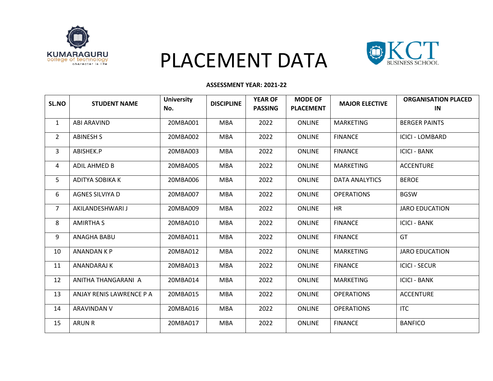

# PLACEMENT DATA



#### **ASSESSMENT YEAR: 2021-22**

| <b>SL.NO</b>   | <b>STUDENT NAME</b>      | <b>University</b><br>No. | <b>DISCIPLINE</b> | <b>YEAR OF</b><br><b>PASSING</b> | <b>MODE OF</b><br><b>PLACEMENT</b> | <b>MAJOR ELECTIVE</b> | <b>ORGANISATION PLACED</b><br>IN |
|----------------|--------------------------|--------------------------|-------------------|----------------------------------|------------------------------------|-----------------------|----------------------------------|
| $\mathbf{1}$   | ABI ARAVIND              | 20MBA001                 | <b>MBA</b>        | 2022                             | <b>ONLINE</b>                      | <b>MARKETING</b>      | <b>BERGER PAINTS</b>             |
| $\overline{2}$ | <b>ABINESH S</b>         | 20MBA002                 | <b>MBA</b>        | 2022                             | <b>ONLINE</b>                      | <b>FINANCE</b>        | <b>ICICI - LOMBARD</b>           |
| 3              | ABISHEK.P                | 20MBA003                 | <b>MBA</b>        | 2022                             | <b>ONLINE</b>                      | <b>FINANCE</b>        | <b>ICICI - BANK</b>              |
| 4              | ADIL AHMED B             | 20MBA005                 | <b>MBA</b>        | 2022                             | <b>ONLINE</b>                      | MARKETING             | <b>ACCENTURE</b>                 |
| 5              | ADITYA SOBIKA K          | 20MBA006                 | <b>MBA</b>        | 2022                             | <b>ONLINE</b>                      | <b>DATA ANALYTICS</b> | <b>BEROE</b>                     |
| 6              | AGNES SILVIYA D          | 20MBA007                 | <b>MBA</b>        | 2022                             | <b>ONLINE</b>                      | <b>OPERATIONS</b>     | <b>BGSW</b>                      |
| $\overline{7}$ | AKILANDESHWARI J         | 20MBA009                 | <b>MBA</b>        | 2022                             | <b>ONLINE</b>                      | <b>HR</b>             | <b>JARO EDUCATION</b>            |
| 8              | <b>AMIRTHA S</b>         | 20MBA010                 | <b>MBA</b>        | 2022                             | <b>ONLINE</b>                      | <b>FINANCE</b>        | <b>ICICI - BANK</b>              |
| 9              | ANAGHA BABU              | 20MBA011                 | <b>MBA</b>        | 2022                             | <b>ONLINE</b>                      | <b>FINANCE</b>        | GT                               |
| 10             | ANANDAN K P              | 20MBA012                 | <b>MBA</b>        | 2022                             | <b>ONLINE</b>                      | <b>MARKETING</b>      | <b>JARO EDUCATION</b>            |
| 11             | ANANDARAJ K              | 20MBA013                 | <b>MBA</b>        | 2022                             | <b>ONLINE</b>                      | <b>FINANCE</b>        | <b>ICICI - SECUR</b>             |
| 12             | ANITHA THANGARANI A      | 20MBA014                 | <b>MBA</b>        | 2022                             | <b>ONLINE</b>                      | MARKETING             | <b>ICICI - BANK</b>              |
| 13             | ANJAY RENIS LAWRENCE P A | 20MBA015                 | <b>MBA</b>        | 2022                             | <b>ONLINE</b>                      | <b>OPERATIONS</b>     | <b>ACCENTURE</b>                 |
| 14             | ARAVINDAN V              | 20MBA016                 | <b>MBA</b>        | 2022                             | <b>ONLINE</b>                      | <b>OPERATIONS</b>     | <b>ITC</b>                       |
| 15             | <b>ARUN R</b>            | 20MBA017                 | <b>MBA</b>        | 2022                             | <b>ONLINE</b>                      | <b>FINANCE</b>        | <b>BANFICO</b>                   |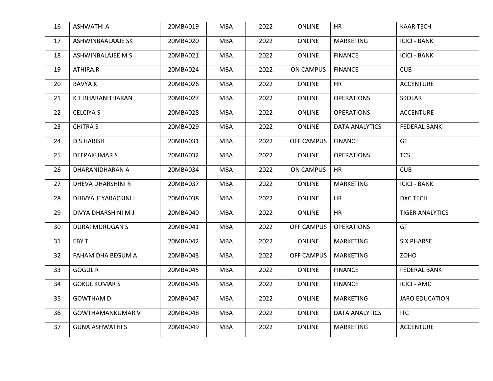| 16 | <b>ASHWATHI A</b>        | 20MBA019 | <b>MBA</b> | 2022 | <b>ONLINE</b>     | <b>HR</b>             | <b>KAAR TECH</b>       |
|----|--------------------------|----------|------------|------|-------------------|-----------------------|------------------------|
| 17 | ASHWINBAALAAJE SK        | 20MBA020 | <b>MBA</b> | 2022 | <b>ONLINE</b>     | <b>MARKETING</b>      | <b>ICICI - BANK</b>    |
| 18 | ASHWINBALAJEE M S        | 20MBA021 | <b>MBA</b> | 2022 | <b>ONLINE</b>     | <b>FINANCE</b>        | <b>ICICI - BANK</b>    |
| 19 | ATHIRA.R                 | 20MBA024 | <b>MBA</b> | 2022 | <b>ON CAMPUS</b>  | <b>FINANCE</b>        | <b>CUB</b>             |
| 20 | <b>BAVYAK</b>            | 20MBA026 | <b>MBA</b> | 2022 | <b>ONLINE</b>     | <b>HR</b>             | <b>ACCENTURE</b>       |
| 21 | K T BHARANITHARAN        | 20MBA027 | <b>MBA</b> | 2022 | <b>ONLINE</b>     | <b>OPERATIONS</b>     | <b>SKOLAR</b>          |
| 22 | <b>CELCIYA S</b>         | 20MBA028 | <b>MBA</b> | 2022 | <b>ONLINE</b>     | <b>OPERATIONS</b>     | <b>ACCENTURE</b>       |
| 23 | <b>CHITRA S</b>          | 20MBA029 | <b>MBA</b> | 2022 | <b>ONLINE</b>     | <b>DATA ANALYTICS</b> | <b>FEDERAL BANK</b>    |
| 24 | <b>D S HARISH</b>        | 20MBA031 | <b>MBA</b> | 2022 | <b>OFF CAMPUS</b> | <b>FINANCE</b>        | GT                     |
| 25 | <b>DEEPAKUMAR S</b>      | 20MBA032 | <b>MBA</b> | 2022 | ONLINE            | <b>OPERATIONS</b>     | <b>TCS</b>             |
| 26 | DHARANIDHARAN A          | 20MBA034 | <b>MBA</b> | 2022 | <b>ON CAMPUS</b>  | <b>HR</b>             | <b>CUB</b>             |
| 27 | <b>DHEVA DHARSHINI R</b> | 20MBA037 | <b>MBA</b> | 2022 | <b>ONLINE</b>     | <b>MARKETING</b>      | <b>ICICI - BANK</b>    |
| 28 | DHIVYA JEYARACKINI L     | 20MBA038 | <b>MBA</b> | 2022 | <b>ONLINE</b>     | <b>HR</b>             | DXC TECH               |
| 29 | DIVYA DHARSHINI M J      | 20MBA040 | <b>MBA</b> | 2022 | <b>ONLINE</b>     | <b>HR</b>             | <b>TIGER ANALYTICS</b> |
| 30 | <b>DURAI MURUGAN S</b>   | 20MBA041 | <b>MBA</b> | 2022 | OFF CAMPUS        | <b>OPERATIONS</b>     | GT                     |
| 31 | EBY T                    | 20MBA042 | <b>MBA</b> | 2022 | ONLINE            | <b>MARKETING</b>      | <b>SIX PHARSE</b>      |
| 32 | FAHAMIDHA BEGUM A        | 20MBA043 | <b>MBA</b> | 2022 | <b>OFF CAMPUS</b> | <b>MARKETING</b>      | <b>ZOHO</b>            |
| 33 | <b>GOGUL R</b>           | 20MBA045 | <b>MBA</b> | 2022 | <b>ONLINE</b>     | <b>FINANCE</b>        | <b>FEDERAL BANK</b>    |
| 34 | <b>GOKUL KUMAR S</b>     | 20MBA046 | <b>MBA</b> | 2022 | <b>ONLINE</b>     | <b>FINANCE</b>        | <b>ICICI - AMC</b>     |
| 35 | <b>GOWTHAM D</b>         | 20MBA047 | <b>MBA</b> | 2022 | <b>ONLINE</b>     | <b>MARKETING</b>      | <b>JARO EDUCATION</b>  |
| 36 | <b>GOWTHAMANKUMAR V</b>  | 20MBA048 | <b>MBA</b> | 2022 | <b>ONLINE</b>     | <b>DATA ANALYTICS</b> | <b>ITC</b>             |
| 37 | <b>GUNA ASHWATHI S</b>   | 20MBA049 | <b>MBA</b> | 2022 | <b>ONLINE</b>     | <b>MARKETING</b>      | <b>ACCENTURE</b>       |
|    |                          |          |            |      |                   |                       |                        |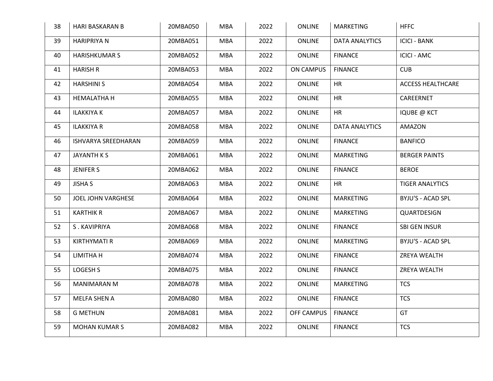| 38 | <b>HARI BASKARAN B</b> | 20MBA050 | <b>MBA</b> | 2022 | <b>ONLINE</b>    | MARKETING             | <b>HFFC</b>              |
|----|------------------------|----------|------------|------|------------------|-----------------------|--------------------------|
| 39 | <b>HARIPRIYA N</b>     | 20MBA051 | <b>MBA</b> | 2022 | <b>ONLINE</b>    | <b>DATA ANALYTICS</b> | <b>ICICI - BANK</b>      |
| 40 | <b>HARISHKUMAR S</b>   | 20MBA052 | <b>MBA</b> | 2022 | <b>ONLINE</b>    | <b>FINANCE</b>        | <b>ICICI - AMC</b>       |
| 41 | <b>HARISH R</b>        | 20MBA053 | <b>MBA</b> | 2022 | <b>ON CAMPUS</b> | <b>FINANCE</b>        | <b>CUB</b>               |
| 42 | <b>HARSHINI S</b>      | 20MBA054 | <b>MBA</b> | 2022 | <b>ONLINE</b>    | <b>HR</b>             | <b>ACCESS HEALTHCARE</b> |
| 43 | <b>HEMALATHA H</b>     | 20MBA055 | <b>MBA</b> | 2022 | <b>ONLINE</b>    | HR                    | CAREERNET                |
| 44 | <b>ILAKKIYA K</b>      | 20MBA057 | <b>MBA</b> | 2022 | ONLINE           | <b>HR</b>             | <b>IQUBE @ KCT</b>       |
| 45 | <b>ILAKKIYA R</b>      | 20MBA058 | <b>MBA</b> | 2022 | ONLINE           | <b>DATA ANALYTICS</b> | AMAZON                   |
| 46 | ISHVARYA SREEDHARAN    | 20MBA059 | <b>MBA</b> | 2022 | ONLINE           | <b>FINANCE</b>        | <b>BANFICO</b>           |
| 47 | JAYANTH K S            | 20MBA061 | <b>MBA</b> | 2022 | <b>ONLINE</b>    | <b>MARKETING</b>      | <b>BERGER PAINTS</b>     |
| 48 | <b>JENIFER S</b>       | 20MBA062 | <b>MBA</b> | 2022 | <b>ONLINE</b>    | <b>FINANCE</b>        | <b>BEROE</b>             |
| 49 | <b>JISHA S</b>         | 20MBA063 | <b>MBA</b> | 2022 | <b>ONLINE</b>    | <b>HR</b>             | <b>TIGER ANALYTICS</b>   |
| 50 | JOEL JOHN VARGHESE     | 20MBA064 | <b>MBA</b> | 2022 | <b>ONLINE</b>    | <b>MARKETING</b>      | <b>BYJU'S - ACAD SPL</b> |
| 51 | <b>KARTHIK R</b>       | 20MBA067 | <b>MBA</b> | 2022 | <b>ONLINE</b>    | <b>MARKETING</b>      | QUARTDESIGN              |
| 52 | S. KAVIPRIYA           | 20MBA068 | <b>MBA</b> | 2022 | ONLINE           | <b>FINANCE</b>        | SBI GEN INSUR            |
| 53 | <b>KIRTHYMATI R</b>    | 20MBA069 | <b>MBA</b> | 2022 | <b>ONLINE</b>    | <b>MARKETING</b>      | BYJU'S - ACAD SPL        |
| 54 | LIMITHA H              | 20MBA074 | <b>MBA</b> | 2022 | <b>ONLINE</b>    | <b>FINANCE</b>        | ZREYA WEALTH             |
| 55 | LOGESH S               | 20MBA075 | <b>MBA</b> | 2022 | <b>ONLINE</b>    | <b>FINANCE</b>        | ZREYA WEALTH             |
| 56 | <b>MANIMARAN M</b>     | 20MBA078 | MBA        | 2022 | <b>ONLINE</b>    | <b>MARKETING</b>      | <b>TCS</b>               |
| 57 | <b>MELFA SHEN A</b>    | 20MBA080 | <b>MBA</b> | 2022 | ONLINE           | <b>FINANCE</b>        | <b>TCS</b>               |
| 58 | <b>G METHUN</b>        | 20MBA081 | <b>MBA</b> | 2022 | OFF CAMPUS       | <b>FINANCE</b>        | GT                       |
| 59 | <b>MOHAN KUMAR S</b>   | 20MBA082 | <b>MBA</b> | 2022 | <b>ONLINE</b>    | <b>FINANCE</b>        | <b>TCS</b>               |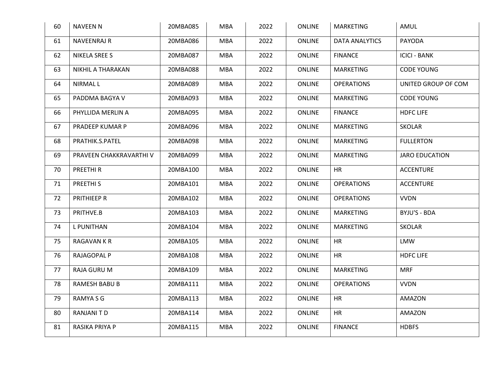| 60 | <b>NAVEEN N</b>         | 20MBA085 | <b>MBA</b> | 2022 | <b>ONLINE</b> | <b>MARKETING</b>      | AMUL                  |
|----|-------------------------|----------|------------|------|---------------|-----------------------|-----------------------|
| 61 | <b>NAVEENRAJ R</b>      | 20MBA086 | <b>MBA</b> | 2022 | <b>ONLINE</b> | <b>DATA ANALYTICS</b> | <b>PAYODA</b>         |
| 62 | NIKELA SREE S           | 20MBA087 | <b>MBA</b> | 2022 | <b>ONLINE</b> | <b>FINANCE</b>        | <b>ICICI - BANK</b>   |
| 63 | NIKHIL A THARAKAN       | 20MBA088 | <b>MBA</b> | 2022 | <b>ONLINE</b> | <b>MARKETING</b>      | <b>CODE YOUNG</b>     |
| 64 | <b>NIRMAL L</b>         | 20MBA089 | <b>MBA</b> | 2022 | <b>ONLINE</b> | <b>OPERATIONS</b>     | UNITED GROUP OF COM   |
| 65 | PADDMA BAGYA V          | 20MBA093 | <b>MBA</b> | 2022 | <b>ONLINE</b> | <b>MARKETING</b>      | <b>CODE YOUNG</b>     |
| 66 | PHYLLIDA MERLIN A       | 20MBA095 | <b>MBA</b> | 2022 | <b>ONLINE</b> | <b>FINANCE</b>        | <b>HDFC LIFE</b>      |
| 67 | PRADEEP KUMAR P         | 20MBA096 | <b>MBA</b> | 2022 | <b>ONLINE</b> | <b>MARKETING</b>      | <b>SKOLAR</b>         |
| 68 | PRATHIK.S.PATEL         | 20MBA098 | <b>MBA</b> | 2022 | <b>ONLINE</b> | <b>MARKETING</b>      | <b>FULLERTON</b>      |
| 69 | PRAVEEN CHAKKRAVARTHI V | 20MBA099 | <b>MBA</b> | 2022 | <b>ONLINE</b> | <b>MARKETING</b>      | <b>JARO EDUCATION</b> |
| 70 | PREETHI R               | 20MBA100 | <b>MBA</b> | 2022 | <b>ONLINE</b> | <b>HR</b>             | <b>ACCENTURE</b>      |
| 71 | PREETHI <sub>S</sub>    | 20MBA101 | <b>MBA</b> | 2022 | <b>ONLINE</b> | <b>OPERATIONS</b>     | <b>ACCENTURE</b>      |
| 72 | PRITHIEEP R             | 20MBA102 | <b>MBA</b> | 2022 | <b>ONLINE</b> | <b>OPERATIONS</b>     | <b>VVDN</b>           |
| 73 | PRITHVE.B               | 20MBA103 | <b>MBA</b> | 2022 | <b>ONLINE</b> | <b>MARKETING</b>      | BYJU'S - BDA          |
| 74 | L PUNITHAN              | 20MBA104 | <b>MBA</b> | 2022 | <b>ONLINE</b> | <b>MARKETING</b>      | <b>SKOLAR</b>         |
| 75 | <b>RAGAVAN K R</b>      | 20MBA105 | <b>MBA</b> | 2022 | <b>ONLINE</b> | <b>HR</b>             | <b>LMW</b>            |
| 76 | <b>RAJAGOPAL P</b>      | 20MBA108 | <b>MBA</b> | 2022 | <b>ONLINE</b> | HR                    | <b>HDFC LIFE</b>      |
| 77 | <b>RAJA GURU M</b>      | 20MBA109 | <b>MBA</b> | 2022 | <b>ONLINE</b> | <b>MARKETING</b>      | <b>MRF</b>            |
| 78 | <b>RAMESH BABU B</b>    | 20MBA111 | <b>MBA</b> | 2022 | <b>ONLINE</b> | <b>OPERATIONS</b>     | <b>VVDN</b>           |
| 79 | RAMYA S G               | 20MBA113 | <b>MBA</b> | 2022 | <b>ONLINE</b> | <b>HR</b>             | AMAZON                |
| 80 | <b>RANJANITD</b>        | 20MBA114 | <b>MBA</b> | 2022 | <b>ONLINE</b> | <b>HR</b>             | <b>AMAZON</b>         |
| 81 | RASIKA PRIYA P          | 20MBA115 | <b>MBA</b> | 2022 | <b>ONLINE</b> | <b>FINANCE</b>        | <b>HDBFS</b>          |
|    |                         |          |            |      |               |                       |                       |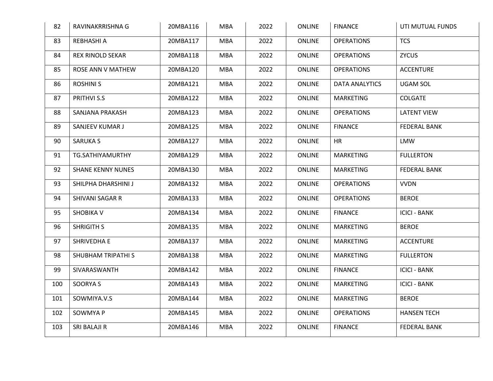| 82  | RAVINAKRRISHNA G         | 20MBA116 | <b>MBA</b> | 2022 | <b>ONLINE</b> | <b>FINANCE</b>        | UTI MUTUAL FUNDS    |
|-----|--------------------------|----------|------------|------|---------------|-----------------------|---------------------|
| 83  | REBHASHI A               | 20MBA117 | <b>MBA</b> | 2022 | <b>ONLINE</b> | <b>OPERATIONS</b>     | <b>TCS</b>          |
| 84  | <b>REX RINOLD SEKAR</b>  | 20MBA118 | <b>MBA</b> | 2022 | <b>ONLINE</b> | <b>OPERATIONS</b>     | <b>ZYCUS</b>        |
| 85  | ROSE ANN V MATHEW        | 20MBA120 | <b>MBA</b> | 2022 | <b>ONLINE</b> | <b>OPERATIONS</b>     | <b>ACCENTURE</b>    |
| 86  | <b>ROSHINI S</b>         | 20MBA121 | <b>MBA</b> | 2022 | <b>ONLINE</b> | <b>DATA ANALYTICS</b> | UGAM SOL            |
| 87  | PRITHVI S.S              | 20MBA122 | <b>MBA</b> | 2022 | <b>ONLINE</b> | <b>MARKETING</b>      | <b>COLGATE</b>      |
| 88  | SANJANA PRAKASH          | 20MBA123 | <b>MBA</b> | 2022 | <b>ONLINE</b> | <b>OPERATIONS</b>     | <b>LATENT VIEW</b>  |
| 89  | SANJEEV KUMAR J          | 20MBA125 | <b>MBA</b> | 2022 | <b>ONLINE</b> | <b>FINANCE</b>        | <b>FEDERAL BANK</b> |
| 90  | <b>SARUKA S</b>          | 20MBA127 | <b>MBA</b> | 2022 | <b>ONLINE</b> | <b>HR</b>             | <b>LMW</b>          |
| 91  | TG.SATHIYAMURTHY         | 20MBA129 | <b>MBA</b> | 2022 | <b>ONLINE</b> | MARKETING             | <b>FULLERTON</b>    |
| 92  | <b>SHANE KENNY NUNES</b> | 20MBA130 | <b>MBA</b> | 2022 | <b>ONLINE</b> | <b>MARKETING</b>      | <b>FEDERAL BANK</b> |
| 93  | SHILPHA DHARSHINI J      | 20MBA132 | <b>MBA</b> | 2022 | <b>ONLINE</b> | <b>OPERATIONS</b>     | <b>VVDN</b>         |
| 94  | SHIVANI SAGAR R          | 20MBA133 | <b>MBA</b> | 2022 | <b>ONLINE</b> | <b>OPERATIONS</b>     | <b>BEROE</b>        |
| 95  | <b>SHOBIKA V</b>         | 20MBA134 | MBA        | 2022 | <b>ONLINE</b> | <b>FINANCE</b>        | <b>ICICI - BANK</b> |
| 96  | <b>SHRIGITH S</b>        | 20MBA135 | <b>MBA</b> | 2022 | <b>ONLINE</b> | <b>MARKETING</b>      | <b>BEROE</b>        |
| 97  | SHRIVEDHA E              | 20MBA137 | <b>MBA</b> | 2022 | <b>ONLINE</b> | <b>MARKETING</b>      | <b>ACCENTURE</b>    |
| 98  | SHUBHAM TRIPATHI S       | 20MBA138 | <b>MBA</b> | 2022 | ONLINE        | MARKETING             | <b>FULLERTON</b>    |
| 99  | SIVARASWANTH             | 20MBA142 | <b>MBA</b> | 2022 | <b>ONLINE</b> | <b>FINANCE</b>        | <b>ICICI - BANK</b> |
| 100 | SOORYA S                 | 20MBA143 | <b>MBA</b> | 2022 | <b>ONLINE</b> | <b>MARKETING</b>      | <b>ICICI - BANK</b> |
| 101 | SOWMIYA.V.S              | 20MBA144 | <b>MBA</b> | 2022 | <b>ONLINE</b> | <b>MARKETING</b>      | <b>BEROE</b>        |
| 102 | SOWMYA P                 | 20MBA145 | <b>MBA</b> | 2022 | <b>ONLINE</b> | <b>OPERATIONS</b>     | <b>HANSEN TECH</b>  |
| 103 | SRI BALAJI R             | 20MBA146 | <b>MBA</b> | 2022 | <b>ONLINE</b> | <b>FINANCE</b>        | <b>FEDERAL BANK</b> |
|     |                          |          |            |      |               |                       |                     |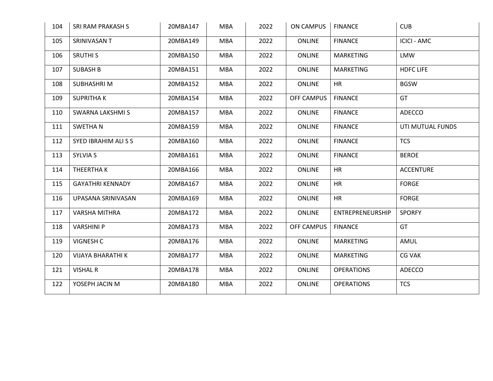| 104 | SRI RAM PRAKASH S       | 20MBA147 | <b>MBA</b> | 2022 | ON CAMPUS         | <b>FINANCE</b>    | <b>CUB</b>         |
|-----|-------------------------|----------|------------|------|-------------------|-------------------|--------------------|
| 105 | SRINIVASAN T            | 20MBA149 | <b>MBA</b> | 2022 | <b>ONLINE</b>     | <b>FINANCE</b>    | <b>ICICI - AMC</b> |
| 106 | <b>SRUTHI S</b>         | 20MBA150 | <b>MBA</b> | 2022 | <b>ONLINE</b>     | <b>MARKETING</b>  | <b>LMW</b>         |
| 107 | <b>SUBASH B</b>         | 20MBA151 | MBA        | 2022 | <b>ONLINE</b>     | <b>MARKETING</b>  | <b>HDFC LIFE</b>   |
| 108 | <b>SUBHASHRIM</b>       | 20MBA152 | <b>MBA</b> | 2022 | <b>ONLINE</b>     | <b>HR</b>         | <b>BGSW</b>        |
| 109 | <b>SUPRITHAK</b>        | 20MBA154 | <b>MBA</b> | 2022 | <b>OFF CAMPUS</b> | <b>FINANCE</b>    | GT                 |
| 110 | SWARNA LAKSHMI S        | 20MBA157 | <b>MBA</b> | 2022 | ONLINE            | <b>FINANCE</b>    | ADECCO             |
| 111 | <b>SWETHAN</b>          | 20MBA159 | <b>MBA</b> | 2022 | <b>ONLINE</b>     | <b>FINANCE</b>    | UTI MUTUAL FUNDS   |
| 112 | SYED IBRAHIM ALI S S    | 20MBA160 | <b>MBA</b> | 2022 | <b>ONLINE</b>     | <b>FINANCE</b>    | <b>TCS</b>         |
| 113 | <b>SYLVIA S</b>         | 20MBA161 | <b>MBA</b> | 2022 | ONLINE            | <b>FINANCE</b>    | <b>BEROE</b>       |
| 114 | THEERTHA K              | 20MBA166 | <b>MBA</b> | 2022 | <b>ONLINE</b>     | <b>HR</b>         | <b>ACCENTURE</b>   |
| 115 | <b>GAYATHRI KENNADY</b> | 20MBA167 | <b>MBA</b> | 2022 | <b>ONLINE</b>     | <b>HR</b>         | <b>FORGE</b>       |
| 116 | UPASANA SRINIVASAN      | 20MBA169 | <b>MBA</b> | 2022 | <b>ONLINE</b>     | <b>HR</b>         | <b>FORGE</b>       |
| 117 | VARSHA MITHRA           | 20MBA172 | <b>MBA</b> | 2022 | ONLINE            | ENTREPRENEURSHIP  | <b>SPORFY</b>      |
| 118 | VARSHINI P              | 20MBA173 | MBA        | 2022 | <b>OFF CAMPUS</b> | <b>FINANCE</b>    | GT                 |
| 119 | <b>VIGNESH C</b>        | 20MBA176 | <b>MBA</b> | 2022 | <b>ONLINE</b>     | <b>MARKETING</b>  | AMUL               |
| 120 | VIJAYA BHARATHI K       | 20MBA177 | MBA        | 2022 | <b>ONLINE</b>     | <b>MARKETING</b>  | <b>CG VAK</b>      |
| 121 | <b>VISHAL R</b>         | 20MBA178 | <b>MBA</b> | 2022 | <b>ONLINE</b>     | <b>OPERATIONS</b> | ADECCO             |
| 122 | YOSEPH JACIN M          | 20MBA180 | <b>MBA</b> | 2022 | <b>ONLINE</b>     | <b>OPERATIONS</b> | <b>TCS</b>         |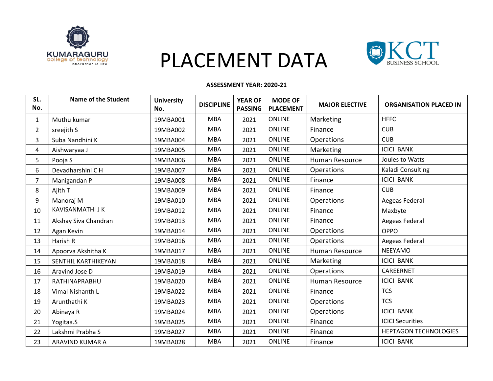

# PLACEMENT DATA



#### **ASSESSMENT YEAR: 2020-21**

| SL.<br>No.     | <b>Name of the Student</b> | <b>University</b><br>No. | <b>DISCIPLINE</b> | <b>YEAR OF</b><br><b>PASSING</b> | <b>MODE OF</b><br><b>PLACEMENT</b> | <b>MAJOR ELECTIVE</b> | <b>ORGANISATION PLACED IN</b> |
|----------------|----------------------------|--------------------------|-------------------|----------------------------------|------------------------------------|-----------------------|-------------------------------|
| $\mathbf{1}$   | Muthu kumar                | 19MBA001                 | <b>MBA</b>        | 2021                             | <b>ONLINE</b>                      | Marketing             | <b>HFFC</b>                   |
| $\overline{2}$ | sreejith S                 | 19MBA002                 | <b>MBA</b>        | 2021                             | <b>ONLINE</b>                      | Finance               | <b>CUB</b>                    |
| 3              | Suba Nandhini K            | 19MBA004                 | <b>MBA</b>        | 2021                             | <b>ONLINE</b>                      | Operations            | <b>CUB</b>                    |
| 4              | Aishwaryaa J               | 19MBA005                 | <b>MBA</b>        | 2021                             | <b>ONLINE</b>                      | Marketing             | <b>ICICI BANK</b>             |
| 5              | Pooja S                    | 19MBA006                 | <b>MBA</b>        | 2021                             | <b>ONLINE</b>                      | Human Resource        | Joules to Watts               |
| 6              | Devadharshini C H          | 19MBA007                 | <b>MBA</b>        | 2021                             | <b>ONLINE</b>                      | Operations            | Kaladi Consulting             |
| 7              | Manigandan P               | 19MBA008                 | <b>MBA</b>        | 2021                             | <b>ONLINE</b>                      | Finance               | <b>ICICI BANK</b>             |
| 8              | Ajith T                    | 19MBA009                 | <b>MBA</b>        | 2021                             | <b>ONLINE</b>                      | Finance               | <b>CUB</b>                    |
| 9              | Manoraj M                  | 19MBA010                 | <b>MBA</b>        | 2021                             | <b>ONLINE</b>                      | Operations            | Aegeas Federal                |
| 10             | <b>KAVISANMATHI J K</b>    | 19MBA012                 | <b>MBA</b>        | 2021                             | <b>ONLINE</b>                      | Finance               | Maxbyte                       |
| 11             | Akshay Siva Chandran       | 19MBA013                 | <b>MBA</b>        | 2021                             | <b>ONLINE</b>                      | Finance               | Aegeas Federal                |
| 12             | Agan Kevin                 | 19MBA014                 | MBA               | 2021                             | <b>ONLINE</b>                      | Operations            | <b>OPPO</b>                   |
| 13             | Harish R                   | 19MBA016                 | <b>MBA</b>        | 2021                             | <b>ONLINE</b>                      | Operations            | Aegeas Federal                |
| 14             | Apoorva Akshitha K         | 19MBA017                 | <b>MBA</b>        | 2021                             | <b>ONLINE</b>                      | Human Resource        | <b>NEEYAMO</b>                |
| 15             | SENTHIL KARTHIKEYAN        | 19MBA018                 | <b>MBA</b>        | 2021                             | <b>ONLINE</b>                      | Marketing             | <b>ICICI BANK</b>             |
| 16             | Aravind Jose D             | 19MBA019                 | MBA               | 2021                             | <b>ONLINE</b>                      | Operations            | CAREERNET                     |
| 17             | RATHINAPRABHU              | 19MBA020                 | <b>MBA</b>        | 2021                             | <b>ONLINE</b>                      | Human Resource        | <b>ICICI BANK</b>             |
| 18             | Vimal Nishanth L           | 19MBA022                 | MBA               | 2021                             | <b>ONLINE</b>                      | Finance               | <b>TCS</b>                    |
| 19             | Arunthathi K               | 19MBA023                 | <b>MBA</b>        | 2021                             | <b>ONLINE</b>                      | Operations            | <b>TCS</b>                    |
| 20             | Abinaya R                  | 19MBA024                 | <b>MBA</b>        | 2021                             | <b>ONLINE</b>                      | Operations            | <b>ICICI BANK</b>             |
| 21             | Yogitaa.S                  | 19MBA025                 | <b>MBA</b>        | 2021                             | <b>ONLINE</b>                      | Finance               | <b>ICICI Securities</b>       |
| 22             | Lakshmi Prabha S           | 19MBA027                 | MBA               | 2021                             | <b>ONLINE</b>                      | Finance               | <b>HEPTAGON TECHNOLOGIES</b>  |
| 23             | ARAVIND KUMAR A            | 19MBA028                 | <b>MBA</b>        | 2021                             | <b>ONLINE</b>                      | Finance               | <b>ICICI BANK</b>             |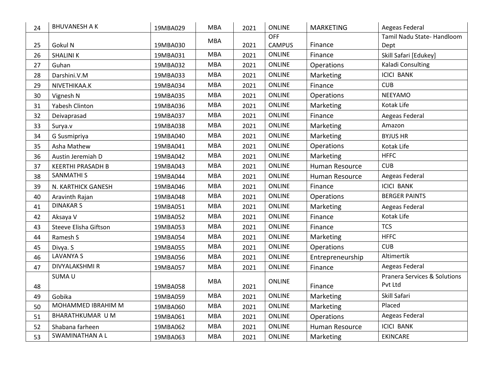| 24 | <b>BHUVANESH A K</b>     | 19MBA029 | <b>MBA</b> | 2021 | <b>ONLINE</b> | <b>MARKETING</b> | Aegeas Federal                          |
|----|--------------------------|----------|------------|------|---------------|------------------|-----------------------------------------|
|    |                          |          | <b>MBA</b> |      | <b>OFF</b>    |                  | Tamil Nadu State-Handloom               |
| 25 | Gokul N                  | 19MBA030 |            | 2021 | <b>CAMPUS</b> | Finance          | Dept                                    |
| 26 | <b>SHALINIK</b>          | 19MBA031 | <b>MBA</b> | 2021 | <b>ONLINE</b> | Finance          | Skill Safari [Edukey]                   |
| 27 | Guhan                    | 19MBA032 | <b>MBA</b> | 2021 | <b>ONLINE</b> | Operations       | Kaladi Consulting                       |
| 28 | Darshini.V.M             | 19MBA033 | <b>MBA</b> | 2021 | ONLINE        | Marketing        | <b>ICICI BANK</b>                       |
| 29 | NIVETHIKAA.K             | 19MBA034 | <b>MBA</b> | 2021 | <b>ONLINE</b> | Finance          | <b>CUB</b>                              |
| 30 | Vignesh N                | 19MBA035 | <b>MBA</b> | 2021 | <b>ONLINE</b> | Operations       | <b>NEEYAMO</b>                          |
| 31 | Yabesh Clinton           | 19MBA036 | <b>MBA</b> | 2021 | <b>ONLINE</b> | Marketing        | Kotak Life                              |
| 32 | Deivaprasad              | 19MBA037 | <b>MBA</b> | 2021 | <b>ONLINE</b> | Finance          | Aegeas Federal                          |
| 33 | Surya.v                  | 19MBA038 | <b>MBA</b> | 2021 | <b>ONLINE</b> | Marketing        | Amazon                                  |
| 34 | G Susmipriya             | 19MBA040 | <b>MBA</b> | 2021 | <b>ONLINE</b> | Marketing        | <b>BYJUS HR</b>                         |
| 35 | Asha Mathew              | 19MBA041 | <b>MBA</b> | 2021 | <b>ONLINE</b> | Operations       | Kotak Life                              |
| 36 | Austin Jeremiah D        | 19MBA042 | <b>MBA</b> | 2021 | <b>ONLINE</b> | Marketing        | <b>HFFC</b>                             |
| 37 | <b>KEERTHI PRASADH B</b> | 19MBA043 | <b>MBA</b> | 2021 | <b>ONLINE</b> | Human Resource   | <b>CUB</b>                              |
| 38 | <b>SANMATHI S</b>        | 19MBA044 | <b>MBA</b> | 2021 | <b>ONLINE</b> | Human Resource   | Aegeas Federal                          |
| 39 | N. KARTHICK GANESH       | 19MBA046 | <b>MBA</b> | 2021 | <b>ONLINE</b> | Finance          | <b>ICICI BANK</b>                       |
| 40 | Aravinth Rajan           | 19MBA048 | <b>MBA</b> | 2021 | <b>ONLINE</b> | Operations       | <b>BERGER PAINTS</b>                    |
| 41 | <b>DINAKAR S</b>         | 19MBA051 | <b>MBA</b> | 2021 | <b>ONLINE</b> | Marketing        | Aegeas Federal                          |
| 42 | Aksaya V                 | 19MBA052 | <b>MBA</b> | 2021 | <b>ONLINE</b> | Finance          | Kotak Life                              |
| 43 | Steeve Elisha Giftson    | 19MBA053 | <b>MBA</b> | 2021 | <b>ONLINE</b> | Finance          | <b>TCS</b>                              |
| 44 | Ramesh S                 | 19MBA054 | <b>MBA</b> | 2021 | <b>ONLINE</b> | Marketing        | <b>HFFC</b>                             |
| 45 | Divya. S                 | 19MBA055 | <b>MBA</b> | 2021 | <b>ONLINE</b> | Operations       | <b>CUB</b>                              |
| 46 | <b>LAVANYA S</b>         | 19MBA056 | <b>MBA</b> | 2021 | <b>ONLINE</b> | Entrepreneurship | Altimertik                              |
| 47 | DIVYALAKSHMI R           | 19MBA057 | <b>MBA</b> | 2021 | <b>ONLINE</b> | Finance          | Aegeas Federal                          |
|    | SUMA <sub>U</sub>        |          |            |      |               |                  | <b>Pranera Services &amp; Solutions</b> |
| 48 |                          | 19MBA058 | <b>MBA</b> | 2021 | <b>ONLINE</b> | Finance          | Pvt Ltd                                 |
| 49 | Gobika                   | 19MBA059 | <b>MBA</b> | 2021 | <b>ONLINE</b> | <b>Marketing</b> | Skill Safari                            |
| 50 | MOHAMMED IBRAHIM M       | 19MBA060 | <b>MBA</b> | 2021 | <b>ONLINE</b> | Marketing        | Placed                                  |
| 51 | BHARATHKUMAR U M         | 19MBA061 | <b>MBA</b> | 2021 | <b>ONLINE</b> | Operations       | Aegeas Federal                          |
| 52 | Shabana farheen          | 19MBA062 | <b>MBA</b> | 2021 | <b>ONLINE</b> | Human Resource   | <b>ICICI BANK</b>                       |
| 53 | <b>SWAMINATHAN A L</b>   | 19MBA063 | <b>MBA</b> | 2021 | <b>ONLINE</b> | Marketing        | <b>EKINCARE</b>                         |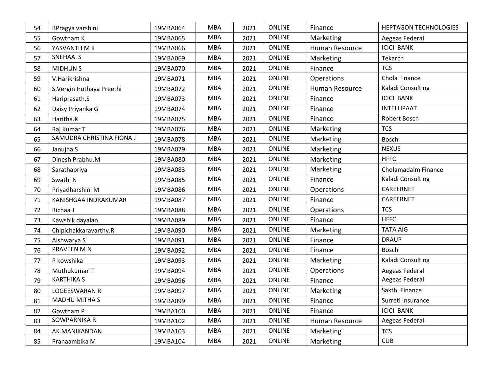| 54 | BPragya varshini           | 19MBA064 | <b>MBA</b> | 2021 | <b>ONLINE</b> | Finance        | <b>HEPTAGON TECHNOLOGIES</b> |
|----|----------------------------|----------|------------|------|---------------|----------------|------------------------------|
| 55 | Gowtham K                  | 19MBA065 | <b>MBA</b> | 2021 | <b>ONLINE</b> | Marketing      | Aegeas Federal               |
| 56 | YASVANTH M K               | 19MBA066 | <b>MBA</b> | 2021 | <b>ONLINE</b> | Human Resource | <b>ICICI BANK</b>            |
| 57 | SNEHAA S                   | 19MBA069 | <b>MBA</b> | 2021 | <b>ONLINE</b> | Marketing      | Tekarch                      |
| 58 | <b>MIDHUNS</b>             | 19MBA070 | <b>MBA</b> | 2021 | <b>ONLINE</b> | Finance        | <b>TCS</b>                   |
| 59 | V.Harikrishna              | 19MBA071 | <b>MBA</b> | 2021 | <b>ONLINE</b> | Operations     | Chola Finance                |
| 60 | S. Vergin Iruthaya Preethi | 19MBA072 | <b>MBA</b> | 2021 | ONLINE        | Human Resource | Kaladi Consulting            |
| 61 | Hariprasath.S              | 19MBA073 | <b>MBA</b> | 2021 | ONLINE        | Finance        | <b>ICICI BANK</b>            |
| 62 | Daisy Priyanka G           | 19MBA074 | <b>MBA</b> | 2021 | <b>ONLINE</b> | Finance        | <b>INTELLIPAAT</b>           |
| 63 | Haritha.K                  | 19MBA075 | <b>MBA</b> | 2021 | <b>ONLINE</b> | Finance        | Robert Bosch                 |
| 64 | Raj Kumar T                | 19MBA076 | <b>MBA</b> | 2021 | ONLINE        | Marketing      | <b>TCS</b>                   |
| 65 | SAMUDRA CHRISTINA FIONA J  | 19MBA078 | <b>MBA</b> | 2021 | <b>ONLINE</b> | Marketing      | <b>Bosch</b>                 |
| 66 | Janujha S                  | 19MBA079 | <b>MBA</b> | 2021 | <b>ONLINE</b> | Marketing      | <b>NEXUS</b>                 |
| 67 | Dinesh Prabhu.M            | 19MBA080 | <b>MBA</b> | 2021 | ONLINE        | Marketing      | <b>HFFC</b>                  |
| 68 | Sarathapriya               | 19MBA083 | <b>MBA</b> | 2021 | <b>ONLINE</b> | Marketing      | Cholamadalm Finance          |
| 69 | Swathi N                   | 19MBA085 | <b>MBA</b> | 2021 | ONLINE        | Finance        | Kaladi Consulting            |
| 70 | Priyadharshini M           | 19MBA086 | <b>MBA</b> | 2021 | ONLINE        | Operations     | CAREERNET                    |
| 71 | KANISHGAA INDRAKUMAR       | 19MBA087 | <b>MBA</b> | 2021 | <b>ONLINE</b> | Finance        | CAREERNET                    |
| 72 | Richaa J                   | 19MBA088 | <b>MBA</b> | 2021 | ONLINE        | Operations     | <b>TCS</b>                   |
| 73 | Kawshik dayalan            | 19MBA089 | <b>MBA</b> | 2021 | ONLINE        | Finance        | <b>HFFC</b>                  |
| 74 | Chipichakkaravarthy.R      | 19MBA090 | <b>MBA</b> | 2021 | <b>ONLINE</b> | Marketing      | <b>TATA AIG</b>              |
| 75 | Aishwarya S                | 19MBA091 | <b>MBA</b> | 2021 | ONLINE        | Finance        | <b>DRAUP</b>                 |
| 76 | PRAVEEN M N                | 19MBA092 | <b>MBA</b> | 2021 | <b>ONLINE</b> | Finance        | <b>Bosch</b>                 |
| 77 | P kowshika                 | 19MBA093 | <b>MBA</b> | 2021 | <b>ONLINE</b> | Marketing      | Kaladi Consulting            |
| 78 | Muthukumar T               | 19MBA094 | <b>MBA</b> | 2021 | ONLINE        | Operations     | Aegeas Federal               |
| 79 | <b>KARTHIKA S</b>          | 19MBA096 | <b>MBA</b> | 2021 | ONLINE        | Finance        | Aegeas Federal               |
| 80 | <b>LOGEESWARAN R</b>       | 19MBA097 | <b>MBA</b> | 2021 | <b>ONLINE</b> | Marketing      | Sakthi Finance               |
| 81 | <b>MADHU MITHA S</b>       | 19MBA099 | <b>MBA</b> | 2021 | ONLINE        | Finance        | Surreti Insurance            |
| 82 | Gowtham P                  | 19MBA100 | <b>MBA</b> | 2021 | ONLINE        | Finance        | <b>ICICI BANK</b>            |
| 83 | SOWPARNIKA R               | 19MBA102 | <b>MBA</b> | 2021 | <b>ONLINE</b> | Human Resource | Aegeas Federal               |
| 84 | AK.MANIKANDAN              | 19MBA103 | <b>MBA</b> | 2021 | ONLINE        | Marketing      | <b>TCS</b>                   |
| 85 | Pranaambika M              | 19MBA104 | <b>MBA</b> | 2021 | <b>ONLINE</b> | Marketing      | <b>CUB</b>                   |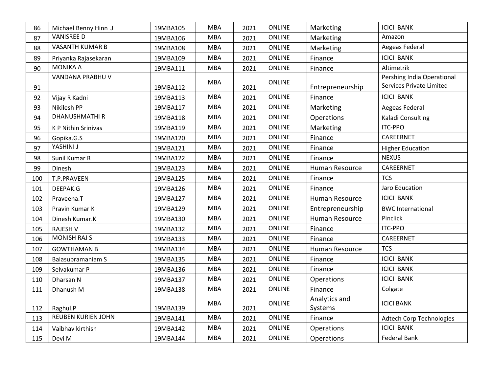| 86  | Michael Benny Hinn .J     | 19MBA105 | <b>MBA</b> | 2021 | <b>ONLINE</b> | Marketing                | <b>ICICI BANK</b>                                             |
|-----|---------------------------|----------|------------|------|---------------|--------------------------|---------------------------------------------------------------|
| 87  | <b>VANISREE D</b>         | 19MBA106 | <b>MBA</b> | 2021 | <b>ONLINE</b> | Marketing                | Amazon                                                        |
| 88  | <b>VASANTH KUMAR B</b>    | 19MBA108 | <b>MBA</b> | 2021 | <b>ONLINE</b> | Marketing                | Aegeas Federal                                                |
| 89  | Priyanka Rajasekaran      | 19MBA109 | <b>MBA</b> | 2021 | <b>ONLINE</b> | Finance                  | <b>ICICI BANK</b>                                             |
| 90  | <b>MONIKA A</b>           | 19MBA111 | <b>MBA</b> | 2021 | <b>ONLINE</b> | Finance                  | Altimetrik                                                    |
| 91  | VANDANA PRABHU V          | 19MBA112 | <b>MBA</b> | 2021 | <b>ONLINE</b> | Entrepreneurship         | Pershing India Operational<br><b>Services Private Limited</b> |
| 92  | Vijay R Kadni             | 19MBA113 | <b>MBA</b> | 2021 | <b>ONLINE</b> | Finance                  | <b>ICICI BANK</b>                                             |
| 93  | Nikilesh PP               | 19MBA117 | <b>MBA</b> | 2021 | <b>ONLINE</b> | Marketing                | Aegeas Federal                                                |
| 94  | <b>DHANUSHMATHIR</b>      | 19MBA118 | <b>MBA</b> | 2021 | <b>ONLINE</b> | Operations               | Kaladi Consulting                                             |
| 95  | K P Nithin Srinivas       | 19MBA119 | <b>MBA</b> | 2021 | <b>ONLINE</b> | Marketing                | <b>ITC-PPO</b>                                                |
| 96  | Gopika.G.S                | 19MBA120 | <b>MBA</b> | 2021 | <b>ONLINE</b> | Finance                  | CAREERNET                                                     |
| 97  | YASHINI J                 | 19MBA121 | <b>MBA</b> | 2021 | <b>ONLINE</b> | Finance                  | <b>Higher Education</b>                                       |
| 98  | Sunil Kumar R             | 19MBA122 | <b>MBA</b> | 2021 | <b>ONLINE</b> | Finance                  | <b>NEXUS</b>                                                  |
| 99  | Dinesh                    | 19MBA123 | <b>MBA</b> | 2021 | <b>ONLINE</b> | Human Resource           | CAREERNET                                                     |
| 100 | T.P.PRAVEEN               | 19MBA125 | <b>MBA</b> | 2021 | <b>ONLINE</b> | Finance                  | <b>TCS</b>                                                    |
| 101 | DEEPAK.G                  | 19MBA126 | <b>MBA</b> | 2021 | <b>ONLINE</b> | Finance                  | Jaro Education                                                |
| 102 | Praveena.T                | 19MBA127 | <b>MBA</b> | 2021 | <b>ONLINE</b> | Human Resource           | <b>ICICI BANK</b>                                             |
| 103 | Pravin Kumar K            | 19MBA129 | <b>MBA</b> | 2021 | <b>ONLINE</b> | Entrepreneurship         | <b>BWC International</b>                                      |
| 104 | Dinesh Kumar.K            | 19MBA130 | <b>MBA</b> | 2021 | <b>ONLINE</b> | Human Resource           | Pinclick                                                      |
| 105 | <b>RAJESH V</b>           | 19MBA132 | <b>MBA</b> | 2021 | <b>ONLINE</b> | Finance                  | <b>ITC-PPO</b>                                                |
| 106 | <b>MONISH RAJ S</b>       | 19MBA133 | <b>MBA</b> | 2021 | <b>ONLINE</b> | Finance                  | CAREERNET                                                     |
| 107 | <b>GOWTHAMAN B</b>        | 19MBA134 | <b>MBA</b> | 2021 | <b>ONLINE</b> | Human Resource           | <b>TCS</b>                                                    |
| 108 | <b>Balasubramaniam S</b>  | 19MBA135 | <b>MBA</b> | 2021 | <b>ONLINE</b> | Finance                  | <b>ICICI BANK</b>                                             |
| 109 | Selvakumar P              | 19MBA136 | <b>MBA</b> | 2021 | <b>ONLINE</b> | Finance                  | <b>ICICI BANK</b>                                             |
| 110 | Dharsan N                 | 19MBA137 | <b>MBA</b> | 2021 | <b>ONLINE</b> | <b>Operations</b>        | <b>ICICI BANK</b>                                             |
| 111 | Dhanush M                 | 19MBA138 | <b>MBA</b> | 2021 | <b>ONLINE</b> | Finance                  | Colgate                                                       |
| 112 | Raghul.P                  | 19MBA139 | <b>MBA</b> | 2021 | <b>ONLINE</b> | Analytics and<br>Systems | <b>ICICI BANK</b>                                             |
| 113 | <b>REUBEN KURIEN JOHN</b> | 19MBA141 | <b>MBA</b> | 2021 | <b>ONLINE</b> | Finance                  | <b>Adtech Corp Technologies</b>                               |
| 114 | Vaibhav kirthish          | 19MBA142 | <b>MBA</b> | 2021 | <b>ONLINE</b> | Operations               | <b>ICICI BANK</b>                                             |
| 115 | Devi M                    | 19MBA144 | <b>MBA</b> | 2021 | <b>ONLINE</b> | Operations               | <b>Federal Bank</b>                                           |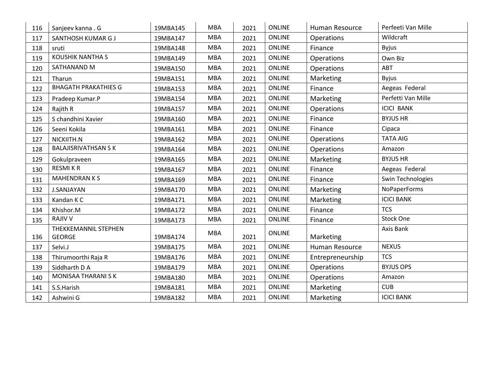| 116 | Sanjeev kanna . G                     | 19MBA145 | <b>MBA</b> | 2021 | <b>ONLINE</b> | Human Resource   | Perfeeti Van Mille |
|-----|---------------------------------------|----------|------------|------|---------------|------------------|--------------------|
| 117 | SANTHOSH KUMAR G J                    | 19MBA147 | <b>MBA</b> | 2021 | <b>ONLINE</b> | Operations       | Wildcraft          |
| 118 | sruti                                 | 19MBA148 | <b>MBA</b> | 2021 | <b>ONLINE</b> | Finance          | <b>Byjus</b>       |
| 119 | <b>KOUSHIK NANTHA S</b>               | 19MBA149 | <b>MBA</b> | 2021 | <b>ONLINE</b> | Operations       | Own Biz            |
| 120 | SATHANAND M                           | 19MBA150 | <b>MBA</b> | 2021 | <b>ONLINE</b> | Operations       | ABT                |
| 121 | Tharun                                | 19MBA151 | <b>MBA</b> | 2021 | <b>ONLINE</b> | Marketing        | <b>Byjus</b>       |
| 122 | <b>BHAGATH PRAKATHIES G</b>           | 19MBA153 | <b>MBA</b> | 2021 | <b>ONLINE</b> | Finance          | Aegeas Federal     |
| 123 | Pradeep Kumar.P                       | 19MBA154 | <b>MBA</b> | 2021 | <b>ONLINE</b> | Marketing        | Perfetti Van Mille |
| 124 | Rajith R                              | 19MBA157 | <b>MBA</b> | 2021 | <b>ONLINE</b> | Operations       | <b>ICICI BANK</b>  |
| 125 | S chandhini Xavier                    | 19MBA160 | <b>MBA</b> | 2021 | <b>ONLINE</b> | Finance          | <b>BYJUS HR</b>    |
| 126 | Seeni Kokila                          | 19MBA161 | <b>MBA</b> | 2021 | <b>ONLINE</b> | Finance          | Cipaca             |
| 127 | NICKIITH.N                            | 19MBA162 | <b>MBA</b> | 2021 | <b>ONLINE</b> | Operations       | <b>TATA AIG</b>    |
| 128 | <b>BALAJISRIVATHSAN SK</b>            | 19MBA164 | <b>MBA</b> | 2021 | <b>ONLINE</b> | Operations       | Amazon             |
| 129 | Gokulpraveen                          | 19MBA165 | <b>MBA</b> | 2021 | <b>ONLINE</b> | Marketing        | <b>BYJUS HR</b>    |
| 130 | <b>RESMIKR</b>                        | 19MBA167 | <b>MBA</b> | 2021 | <b>ONLINE</b> | Finance          | Aegeas Federal     |
| 131 | <b>MAHENDRANKS</b>                    | 19MBA169 | <b>MBA</b> | 2021 | ONLINE        | Finance          | Swin Technologies  |
| 132 | <b>J.SANJAYAN</b>                     | 19MBA170 | <b>MBA</b> | 2021 | <b>ONLINE</b> | Marketing        | NoPaperForms       |
| 133 | Kandan K C                            | 19MBA171 | <b>MBA</b> | 2021 | <b>ONLINE</b> | <b>Marketing</b> | <b>ICICI BANK</b>  |
| 134 | Khishor.M                             | 19MBA172 | <b>MBA</b> | 2021 | <b>ONLINE</b> | Finance          | <b>TCS</b>         |
| 135 | <b>RAJIV V</b>                        | 19MBA173 | <b>MBA</b> | 2021 | <b>ONLINE</b> | Finance          | <b>Stock One</b>   |
| 136 | THEKKEMANNIL STEPHEN<br><b>GEORGE</b> | 19MBA174 | <b>MBA</b> | 2021 | ONLINE        | Marketing        | Axis Bank          |
| 137 | Selvi.J                               | 19MBA175 | <b>MBA</b> | 2021 | <b>ONLINE</b> | Human Resource   | <b>NEXUS</b>       |
| 138 | Thirumoorthi Raja R                   | 19MBA176 | <b>MBA</b> | 2021 | <b>ONLINE</b> | Entrepreneurship | <b>TCS</b>         |
| 139 | Siddharth D A                         | 19MBA179 | <b>MBA</b> | 2021 | ONLINE        | Operations       | <b>BYJUS OPS</b>   |
| 140 | MONISAA THARANI S K                   | 19MBA180 | <b>MBA</b> | 2021 | <b>ONLINE</b> | Operations       | Amazon             |
| 141 | S.S.Harish                            | 19MBA181 | <b>MBA</b> | 2021 | <b>ONLINE</b> | Marketing        | <b>CUB</b>         |
| 142 | Ashwini G                             | 19MBA182 | <b>MBA</b> | 2021 | <b>ONLINE</b> | Marketing        | <b>ICICI BANK</b>  |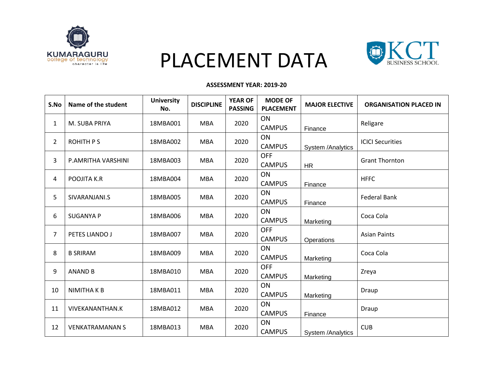

# PLACEMENT DATA



#### **ASSESSMENT YEAR: 2019-20**

| S.No           | Name of the student    | <b>University</b><br>No. | <b>DISCIPLINE</b> | <b>YEAR OF</b><br><b>PASSING</b> | <b>MODE OF</b><br><b>PLACEMENT</b> | <b>MAJOR ELECTIVE</b>    | <b>ORGANISATION PLACED IN</b> |
|----------------|------------------------|--------------------------|-------------------|----------------------------------|------------------------------------|--------------------------|-------------------------------|
| $\mathbf{1}$   | M. SUBA PRIYA          | 18MBA001                 | <b>MBA</b>        | 2020                             | ON<br><b>CAMPUS</b>                | Finance                  | Religare                      |
| $\overline{2}$ | <b>ROHITH PS</b>       | 18MBA002                 | <b>MBA</b>        | 2020                             | ON<br><b>CAMPUS</b>                | System /Analytics        | <b>ICICI Securities</b>       |
| 3              | P.AMRITHA VARSHINI     | 18MBA003                 | <b>MBA</b>        | 2020                             | <b>OFF</b><br><b>CAMPUS</b>        | <b>HR</b>                | <b>Grant Thornton</b>         |
| 4              | POOJITA K.R            | 18MBA004                 | <b>MBA</b>        | 2020                             | ON<br><b>CAMPUS</b>                | Finance                  | <b>HFFC</b>                   |
| 5              | SIVARANJANI.S          | 18MBA005                 | <b>MBA</b>        | 2020                             | <b>ON</b><br><b>CAMPUS</b>         | Finance                  | <b>Federal Bank</b>           |
| 6              | <b>SUGANYA P</b>       | 18MBA006                 | <b>MBA</b>        | 2020                             | ON<br><b>CAMPUS</b>                | Marketing                | Coca Cola                     |
| $\overline{7}$ | PETES LIANDO J         | 18MBA007                 | <b>MBA</b>        | 2020                             | <b>OFF</b><br><b>CAMPUS</b>        | Operations               | <b>Asian Paints</b>           |
| 8              | <b>B SRIRAM</b>        | 18MBA009                 | <b>MBA</b>        | 2020                             | ON<br><b>CAMPUS</b>                | Marketing                | Coca Cola                     |
| 9              | <b>ANAND B</b>         | 18MBA010                 | <b>MBA</b>        | 2020                             | <b>OFF</b><br><b>CAMPUS</b>        | Marketing                | Zreya                         |
| 10             | <b>NIMITHAKB</b>       | 18MBA011                 | <b>MBA</b>        | 2020                             | ON<br><b>CAMPUS</b>                | Marketing                | Draup                         |
| 11             | <b>VIVEKANANTHAN.K</b> | 18MBA012                 | <b>MBA</b>        | 2020                             | ON<br><b>CAMPUS</b>                | Finance                  | Draup                         |
| 12             | <b>VENKATRAMANAN S</b> | 18MBA013                 | <b>MBA</b>        | 2020                             | ON<br><b>CAMPUS</b>                | <b>System /Analytics</b> | <b>CUB</b>                    |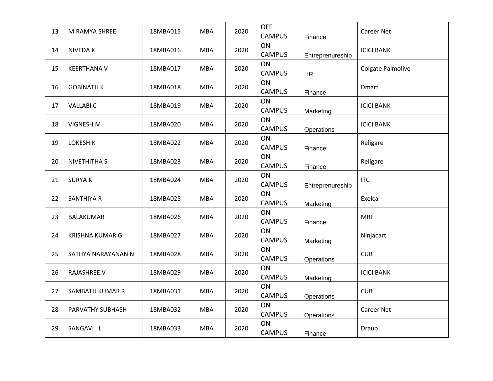| 13 | M.RAMYA SHREE          | 18MBA015 | <b>MBA</b> | 2020 | <b>OFF</b><br><b>CAMPUS</b> | Finance          | <b>Career Net</b> |
|----|------------------------|----------|------------|------|-----------------------------|------------------|-------------------|
| 14 | <b>NIVEDAK</b>         | 18MBA016 | <b>MBA</b> | 2020 | ON<br><b>CAMPUS</b>         | Entreprenureship | <b>ICICI BANK</b> |
| 15 | <b>KEERTHANA V</b>     | 18MBA017 | <b>MBA</b> | 2020 | ON<br><b>CAMPUS</b>         | <b>HR</b>        | Colgate Palmolive |
| 16 | <b>GOBINATH K</b>      | 18MBA018 | <b>MBA</b> | 2020 | ON<br><b>CAMPUS</b>         | Finance          | <b>Dmart</b>      |
| 17 | <b>VALLABI C</b>       | 18MBA019 | <b>MBA</b> | 2020 | ON<br><b>CAMPUS</b>         | Marketing        | <b>ICICI BANK</b> |
| 18 | <b>VIGNESH M</b>       | 18MBA020 | <b>MBA</b> | 2020 | ON<br><b>CAMPUS</b>         | Operations       | <b>ICICI BANK</b> |
| 19 | LOKESH.K               | 18MBA022 | <b>MBA</b> | 2020 | ON<br><b>CAMPUS</b>         | Finance          | Religare          |
| 20 | NIVETHITHA S           | 18MBA023 | <b>MBA</b> | 2020 | ON<br><b>CAMPUS</b>         | Finance          | Religare          |
| 21 | <b>SURYAK</b>          | 18MBA024 | <b>MBA</b> | 2020 | ON<br><b>CAMPUS</b>         | Entreprenureship | <b>ITC</b>        |
| 22 | <b>SANTHIYA R</b>      | 18MBA025 | <b>MBA</b> | 2020 | ON<br><b>CAMPUS</b>         | Marketing        | Exelca            |
| 23 | BALAKUMAR              | 18MBA026 | <b>MBA</b> | 2020 | ON<br><b>CAMPUS</b>         | Finance          | <b>MRF</b>        |
| 24 | <b>KRISHNA KUMAR G</b> | 18MBA027 | <b>MBA</b> | 2020 | ON<br><b>CAMPUS</b>         | Marketing        | Ninjacart         |
| 25 | SATHYA NARAYANAN N     | 18MBA028 | <b>MBA</b> | 2020 | ON<br><b>CAMPUS</b>         | Operations       | <b>CUB</b>        |
| 26 | RAJASHREE.V            | 18MBA029 | <b>MBA</b> | 2020 | ON<br><b>CAMPUS</b>         | Marketing        | <b>ICICI BANK</b> |
| 27 | SAMBATH KUMAR R        | 18MBA031 | <b>MBA</b> | 2020 | ON<br><b>CAMPUS</b>         | Operations       | <b>CUB</b>        |
| 28 | PARVATHY SUBHASH       | 18MBA032 | <b>MBA</b> | 2020 | ON<br><b>CAMPUS</b>         | Operations       | <b>Career Net</b> |
| 29 | SANGAVI.L              | 18MBA033 | <b>MBA</b> | 2020 | ON<br><b>CAMPUS</b>         | Finance          | Draup             |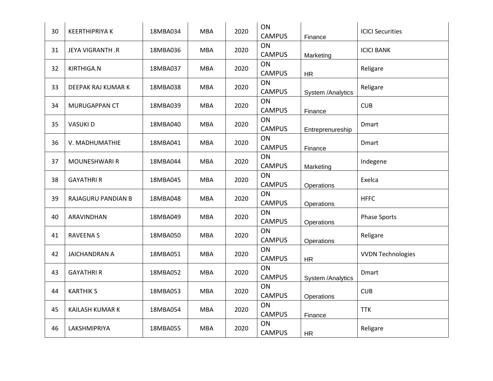| 30 | <b>KEERTHIPRIYA K</b> | 18MBA034 | <b>MBA</b> | 2020 | ON<br><b>CAMPUS</b> | Finance           | <b>ICICI Securities</b>  |
|----|-----------------------|----------|------------|------|---------------------|-------------------|--------------------------|
| 31 | JEYA VIGRANTH.R       | 18MBA036 | <b>MBA</b> | 2020 | ON<br><b>CAMPUS</b> | Marketing         | <b>ICICI BANK</b>        |
| 32 | KIRTHIGA.N            | 18MBA037 | <b>MBA</b> | 2020 | ON<br><b>CAMPUS</b> | <b>HR</b>         | Religare                 |
| 33 | DEEPAK RAJ KUMAR K    | 18MBA038 | <b>MBA</b> | 2020 | ON<br><b>CAMPUS</b> | System /Analytics | Religare                 |
| 34 | MURUGAPPAN CT         | 18MBA039 | <b>MBA</b> | 2020 | ON<br><b>CAMPUS</b> | Finance           | <b>CUB</b>               |
| 35 | <b>VASUKID</b>        | 18MBA040 | <b>MBA</b> | 2020 | ON<br><b>CAMPUS</b> | Entreprenureship  | Dmart                    |
| 36 | V. MADHUMATHIE        | 18MBA041 | <b>MBA</b> | 2020 | ON<br><b>CAMPUS</b> | Finance           | <b>Dmart</b>             |
| 37 | MOUNESHWARI R         | 18MBA044 | <b>MBA</b> | 2020 | ON<br><b>CAMPUS</b> | Marketing         | Indegene                 |
| 38 | <b>GAYATHRI R</b>     | 18MBA045 | <b>MBA</b> | 2020 | ON<br><b>CAMPUS</b> | Operations        | Exelca                   |
| 39 | RAJAGURU PANDIAN B    | 18MBA048 | <b>MBA</b> | 2020 | ON<br><b>CAMPUS</b> | Operations        | <b>HFFC</b>              |
| 40 | ARAVINDHAN            | 18MBA049 | <b>MBA</b> | 2020 | ON<br><b>CAMPUS</b> | Operations        | <b>Phase Sports</b>      |
| 41 | <b>RAVEENA S</b>      | 18MBA050 | <b>MBA</b> | 2020 | ON<br><b>CAMPUS</b> | Operations        | Religare                 |
| 42 | <b>JAICHANDRAN A</b>  | 18MBA051 | <b>MBA</b> | 2020 | ON<br><b>CAMPUS</b> | <b>HR</b>         | <b>VVDN Technologies</b> |
| 43 | <b>GAYATHRIR</b>      | 18MBA052 | <b>MBA</b> | 2020 | ON<br><b>CAMPUS</b> | System /Analytics | <b>Dmart</b>             |
| 44 | <b>KARTHIK S</b>      | 18MBA053 | <b>MBA</b> | 2020 | ON<br><b>CAMPUS</b> | Operations        | <b>CUB</b>               |
| 45 | KAILASH KUMAR K       | 18MBA054 | <b>MBA</b> | 2020 | ON<br><b>CAMPUS</b> | Finance           | <b>TTK</b>               |
| 46 | LAKSHMIPRIYA          | 18MBA055 | <b>MBA</b> | 2020 | ON<br><b>CAMPUS</b> | <b>HR</b>         | Religare                 |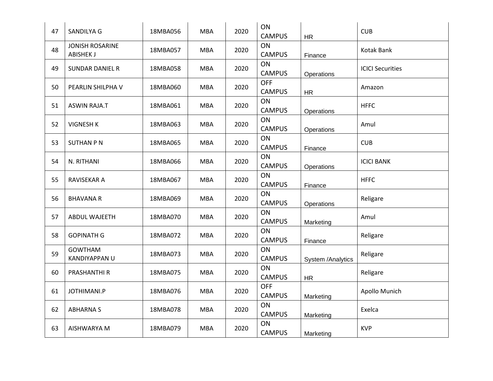| 47 | SANDILYA G                                 | 18MBA056 | <b>MBA</b> | 2020 | ON<br><b>CAMPUS</b>         | <b>HR</b>         | <b>CUB</b>              |
|----|--------------------------------------------|----------|------------|------|-----------------------------|-------------------|-------------------------|
| 48 | <b>JONISH ROSARINE</b><br><b>ABISHEK J</b> | 18MBA057 | <b>MBA</b> | 2020 | ON<br><b>CAMPUS</b>         | Finance           | Kotak Bank              |
| 49 | <b>SUNDAR DANIEL R</b>                     | 18MBA058 | <b>MBA</b> | 2020 | ON<br><b>CAMPUS</b>         | Operations        | <b>ICICI Securities</b> |
| 50 | PEARLIN SHILPHA V                          | 18MBA060 | <b>MBA</b> | 2020 | <b>OFF</b><br><b>CAMPUS</b> | HR                | Amazon                  |
| 51 | <b>ASWIN RAJA.T</b>                        | 18MBA061 | <b>MBA</b> | 2020 | ON<br><b>CAMPUS</b>         | Operations        | <b>HFFC</b>             |
| 52 | <b>VIGNESH K</b>                           | 18MBA063 | <b>MBA</b> | 2020 | ON<br><b>CAMPUS</b>         | Operations        | Amul                    |
| 53 | <b>SUTHAN P N</b>                          | 18MBA065 | <b>MBA</b> | 2020 | ON<br><b>CAMPUS</b>         | Finance           | <b>CUB</b>              |
| 54 | N. RITHANI                                 | 18MBA066 | <b>MBA</b> | 2020 | ON<br><b>CAMPUS</b>         | Operations        | <b>ICICI BANK</b>       |
| 55 | RAVISEKAR A                                | 18MBA067 | <b>MBA</b> | 2020 | ON<br><b>CAMPUS</b>         | Finance           | <b>HFFC</b>             |
| 56 | <b>BHAVANA R</b>                           | 18MBA069 | <b>MBA</b> | 2020 | ON<br><b>CAMPUS</b>         | Operations        | Religare                |
| 57 | <b>ABDUL WAJEETH</b>                       | 18MBA070 | <b>MBA</b> | 2020 | ON<br><b>CAMPUS</b>         | Marketing         | Amul                    |
| 58 | <b>GOPINATH G</b>                          | 18MBA072 | <b>MBA</b> | 2020 | ON<br><b>CAMPUS</b>         | Finance           | Religare                |
| 59 | <b>GOWTHAM</b><br>KANDIYAPPAN U            | 18MBA073 | <b>MBA</b> | 2020 | ON<br><b>CAMPUS</b>         | System /Analytics | Religare                |
| 60 | PRASHANTHI R                               | 18MBA075 | <b>MBA</b> | 2020 | ON<br><b>CAMPUS</b>         | HR                | Religare                |
| 61 | JOTHIMANI.P                                | 18MBA076 | <b>MBA</b> | 2020 | <b>OFF</b><br><b>CAMPUS</b> | Marketing         | Apollo Munich           |
| 62 | <b>ABHARNAS</b>                            | 18MBA078 | <b>MBA</b> | 2020 | ON<br><b>CAMPUS</b>         | Marketing         | Exelca                  |
| 63 | AISHWARYA M                                | 18MBA079 | <b>MBA</b> | 2020 | ON<br><b>CAMPUS</b>         | Marketing         | <b>KVP</b>              |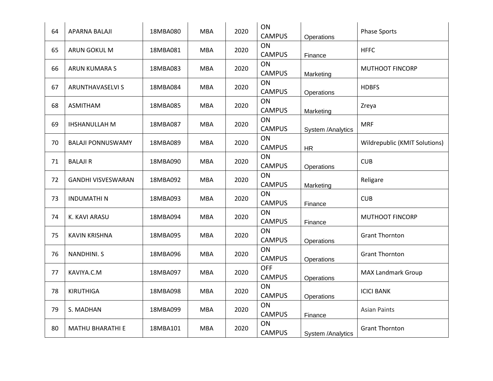| 64 | APARNA BALAJI             | 18MBA080 | <b>MBA</b> | 2020 | ON<br><b>CAMPUS</b>         | Operations        | <b>Phase Sports</b>           |
|----|---------------------------|----------|------------|------|-----------------------------|-------------------|-------------------------------|
| 65 | ARUN GOKUL M              | 18MBA081 | <b>MBA</b> | 2020 | ON<br><b>CAMPUS</b>         | Finance           | <b>HFFC</b>                   |
| 66 | <b>ARUN KUMARA S</b>      | 18MBA083 | <b>MBA</b> | 2020 | ON<br><b>CAMPUS</b>         | Marketing         | <b>MUTHOOT FINCORP</b>        |
| 67 | ARUNTHAVASELVI S          | 18MBA084 | <b>MBA</b> | 2020 | ON<br><b>CAMPUS</b>         | Operations        | <b>HDBFS</b>                  |
| 68 | ASMITHAM                  | 18MBA085 | <b>MBA</b> | 2020 | ON<br><b>CAMPUS</b>         | Marketing         | Zreya                         |
| 69 | IHSHANULLAH M             | 18MBA087 | <b>MBA</b> | 2020 | ON<br><b>CAMPUS</b>         | System /Analytics | <b>MRF</b>                    |
| 70 | <b>BALAJI PONNUSWAMY</b>  | 18MBA089 | <b>MBA</b> | 2020 | ON<br><b>CAMPUS</b>         | <b>HR</b>         | Wildrepublic (KMIT Solutions) |
| 71 | <b>BALAJIR</b>            | 18MBA090 | <b>MBA</b> | 2020 | ON<br><b>CAMPUS</b>         | Operations        | <b>CUB</b>                    |
| 72 | <b>GANDHI VISVESWARAN</b> | 18MBA092 | <b>MBA</b> | 2020 | ON<br><b>CAMPUS</b>         | Marketing         | Religare                      |
| 73 | <b>INDUMATHIN</b>         | 18MBA093 | <b>MBA</b> | 2020 | ON<br><b>CAMPUS</b>         | Finance           | <b>CUB</b>                    |
| 74 | K. KAVI ARASU             | 18MBA094 | <b>MBA</b> | 2020 | ON<br><b>CAMPUS</b>         | Finance           | <b>MUTHOOT FINCORP</b>        |
| 75 | KAVIN KRISHNA             | 18MBA095 | <b>MBA</b> | 2020 | ON<br><b>CAMPUS</b>         | Operations        | <b>Grant Thornton</b>         |
| 76 | <b>NANDHINI. S</b>        | 18MBA096 | <b>MBA</b> | 2020 | ON<br><b>CAMPUS</b>         | Operations        | <b>Grant Thornton</b>         |
| 77 | KAVIYA.C.M                | 18MBA097 | <b>MBA</b> | 2020 | <b>OFF</b><br><b>CAMPUS</b> | Operations        | <b>MAX Landmark Group</b>     |
| 78 | <b>KIRUTHIGA</b>          | 18MBA098 | <b>MBA</b> | 2020 | ON<br><b>CAMPUS</b>         | Operations        | <b>ICICI BANK</b>             |
| 79 | S. MADHAN                 | 18MBA099 | <b>MBA</b> | 2020 | ON<br><b>CAMPUS</b>         | Finance           | <b>Asian Paints</b>           |
| 80 | <b>MATHU BHARATHI E</b>   | 18MBA101 | <b>MBA</b> | 2020 | ON<br><b>CAMPUS</b>         | System /Analytics | <b>Grant Thornton</b>         |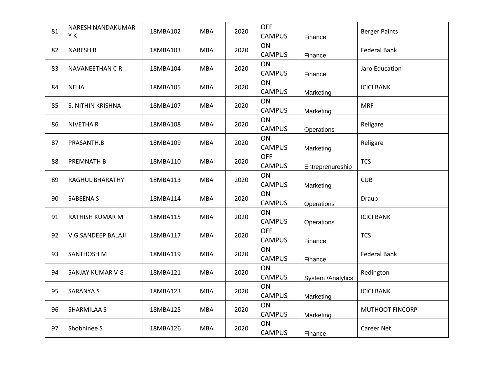| 81 | NARESH NANDAKUMAR<br>YΚ | 18MBA102 | <b>MBA</b> | 2020 | <b>OFF</b><br><b>CAMPUS</b> | Finance           | <b>Berger Paints</b> |
|----|-------------------------|----------|------------|------|-----------------------------|-------------------|----------------------|
| 82 | <b>NARESH R</b>         | 18MBA103 | <b>MBA</b> | 2020 | ON<br><b>CAMPUS</b>         | Finance           | <b>Federal Bank</b>  |
| 83 | NAVANEETHAN C R         | 18MBA104 | <b>MBA</b> | 2020 | ON<br><b>CAMPUS</b>         | Finance           | Jaro Education       |
| 84 | <b>NEHA</b>             | 18MBA105 | <b>MBA</b> | 2020 | ON<br><b>CAMPUS</b>         | Marketing         | <b>ICICI BANK</b>    |
| 85 | S. NITHIN KRISHNA       | 18MBA107 | <b>MBA</b> | 2020 | ON<br><b>CAMPUS</b>         | Marketing         | <b>MRF</b>           |
| 86 | <b>NIVETHAR</b>         | 18MBA108 | <b>MBA</b> | 2020 | ON<br><b>CAMPUS</b>         | Operations        | Religare             |
| 87 | PRASANTH.B              | 18MBA109 | <b>MBA</b> | 2020 | ON<br><b>CAMPUS</b>         | Marketing         | Religare             |
| 88 | PREMNATH B              | 18MBA110 | <b>MBA</b> | 2020 | <b>OFF</b><br><b>CAMPUS</b> | Entreprenureship  | <b>TCS</b>           |
| 89 | RAGHUL BHARATHY         | 18MBA113 | <b>MBA</b> | 2020 | ON<br><b>CAMPUS</b>         | Marketing         | <b>CUB</b>           |
| 90 | SABEENA S               | 18MBA114 | <b>MBA</b> | 2020 | ON<br><b>CAMPUS</b>         | Operations        | Draup                |
| 91 | RATHISH KUMAR M         | 18MBA115 | <b>MBA</b> | 2020 | ON<br><b>CAMPUS</b>         | Operations        | <b>ICICI BANK</b>    |
| 92 | V.G.SANDEEP BALAJI      | 18MBA117 | <b>MBA</b> | 2020 | <b>OFF</b><br><b>CAMPUS</b> | Finance           | <b>TCS</b>           |
| 93 | SANTHOSH M              | 18MBA119 | <b>MBA</b> | 2020 | ON<br><b>CAMPUS</b>         | Finance           | <b>Federal Bank</b>  |
| 94 | SANJAY KUMAR V G        | 18MBA121 | <b>MBA</b> | 2020 | ON<br><b>CAMPUS</b>         | System /Analytics | Redington            |
| 95 | <b>SARANYA S</b>        | 18MBA123 | <b>MBA</b> | 2020 | ON<br><b>CAMPUS</b>         | Marketing         | <b>ICICI BANK</b>    |
| 96 | <b>SHARMILAA S</b>      | 18MBA125 | <b>MBA</b> | 2020 | ON<br><b>CAMPUS</b>         | Marketing         | MUTHOOT FINCORP      |
| 97 | Shobhinee S             | 18MBA126 | <b>MBA</b> | 2020 | ON<br><b>CAMPUS</b>         | Finance           | <b>Career Net</b>    |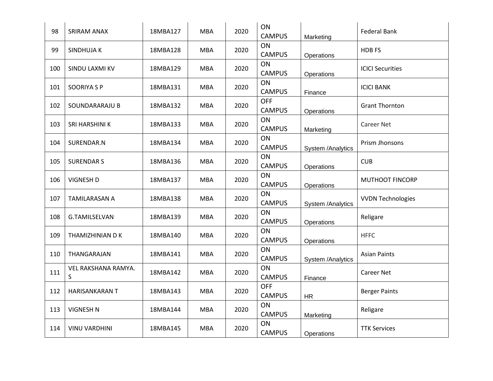| 98  | SRIRAM ANAX              | 18MBA127 | <b>MBA</b> | 2020 | ON<br><b>CAMPUS</b>         | Marketing         | <b>Federal Bank</b>      |
|-----|--------------------------|----------|------------|------|-----------------------------|-------------------|--------------------------|
| 99  | SINDHUJA K               | 18MBA128 | <b>MBA</b> | 2020 | ON<br><b>CAMPUS</b>         | Operations        | <b>HDBFS</b>             |
| 100 | SINDU LAXMI KV           | 18MBA129 | <b>MBA</b> | 2020 | ON<br><b>CAMPUS</b>         | Operations        | <b>ICICI Securities</b>  |
| 101 | <b>SOORIYA S P</b>       | 18MBA131 | <b>MBA</b> | 2020 | ON<br><b>CAMPUS</b>         | Finance           | <b>ICICI BANK</b>        |
| 102 | SOUNDARARAJU B           | 18MBA132 | <b>MBA</b> | 2020 | <b>OFF</b><br><b>CAMPUS</b> | Operations        | <b>Grant Thornton</b>    |
| 103 | SRI HARSHINI K           | 18MBA133 | <b>MBA</b> | 2020 | ON<br><b>CAMPUS</b>         | Marketing         | Career Net               |
| 104 | SURENDAR.N               | 18MBA134 | <b>MBA</b> | 2020 | ON<br><b>CAMPUS</b>         | System /Analytics | Prism Jhonsons           |
| 105 | <b>SURENDARS</b>         | 18MBA136 | <b>MBA</b> | 2020 | ON<br><b>CAMPUS</b>         | Operations        | <b>CUB</b>               |
| 106 | <b>VIGNESH D</b>         | 18MBA137 | <b>MBA</b> | 2020 | <b>ON</b><br><b>CAMPUS</b>  | Operations        | <b>MUTHOOT FINCORP</b>   |
| 107 | <b>TAMILARASAN A</b>     | 18MBA138 | <b>MBA</b> | 2020 | ON<br><b>CAMPUS</b>         | System /Analytics | <b>VVDN Technologies</b> |
| 108 | <b>G.TAMILSELVAN</b>     | 18MBA139 | <b>MBA</b> | 2020 | ON<br><b>CAMPUS</b>         | Operations        | Religare                 |
| 109 | THAMIZHINIAN D K         | 18MBA140 | <b>MBA</b> | 2020 | ON<br><b>CAMPUS</b>         | Operations        | <b>HFFC</b>              |
| 110 | THANGARAJAN              | 18MBA141 | <b>MBA</b> | 2020 | ON<br><b>CAMPUS</b>         | System /Analytics | <b>Asian Paints</b>      |
| 111 | VEL RAKSHANA RAMYA.<br>S | 18MBA142 | <b>MBA</b> | 2020 | ON<br><b>CAMPUS</b>         | Finance           | <b>Career Net</b>        |
| 112 | HARISANKARAN T           | 18MBA143 | <b>MBA</b> | 2020 | <b>OFF</b><br><b>CAMPUS</b> | <b>HR</b>         | <b>Berger Paints</b>     |
| 113 | <b>VIGNESH N</b>         | 18MBA144 | <b>MBA</b> | 2020 | ON<br><b>CAMPUS</b>         | Marketing         | Religare                 |
| 114 | <b>VINU VARDHINI</b>     | 18MBA145 | <b>MBA</b> | 2020 | ON<br><b>CAMPUS</b>         | Operations        | <b>TTK Services</b>      |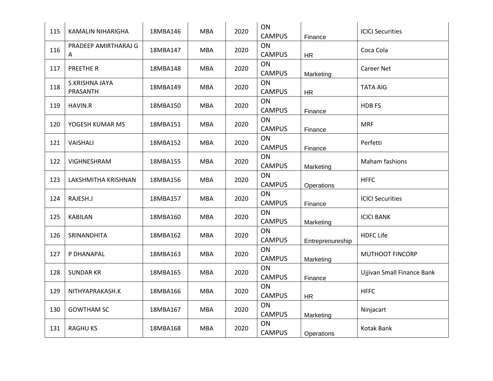| 115 | KAMALIN NIHARIGHA          | 18MBA146 | <b>MBA</b> | 2020 | ON<br><b>CAMPUS</b> | Finance          | <b>ICICI Securities</b>    |
|-----|----------------------------|----------|------------|------|---------------------|------------------|----------------------------|
| 116 | PRADEEP AMIRTHARAJ G<br>A  | 18MBA147 | <b>MBA</b> | 2020 | ON<br><b>CAMPUS</b> | <b>HR</b>        | Coca Cola                  |
| 117 | PREETHE R                  | 18MBA148 | <b>MBA</b> | 2020 | ON<br><b>CAMPUS</b> | Marketing        | <b>Career Net</b>          |
| 118 | S.KRISHNA JAYA<br>PRASANTH | 18MBA149 | <b>MBA</b> | 2020 | ON<br><b>CAMPUS</b> | HR               | <b>TATA AIG</b>            |
| 119 | HAVIN.R                    | 18MBA150 | <b>MBA</b> | 2020 | ON<br><b>CAMPUS</b> | Finance          | HDB FS                     |
| 120 | YOGESH KUMAR MS            | 18MBA151 | <b>MBA</b> | 2020 | ON<br><b>CAMPUS</b> | Finance          | <b>MRF</b>                 |
| 121 | VAISHALI                   | 18MBA152 | <b>MBA</b> | 2020 | ON<br><b>CAMPUS</b> | Finance          | Perfetti                   |
| 122 | VIGHNESHRAM                | 18MBA155 | <b>MBA</b> | 2020 | ON<br><b>CAMPUS</b> | Marketing        | Maham fashions             |
| 123 | LAKSHMITHA KRISHNAN        | 18MBA156 | <b>MBA</b> | 2020 | ON<br><b>CAMPUS</b> | Operations       | <b>HFFC</b>                |
| 124 | RAJESH.J                   | 18MBA157 | <b>MBA</b> | 2020 | ON<br><b>CAMPUS</b> | Finance          | <b>ICICI Securities</b>    |
| 125 | <b>KABILAN</b>             | 18MBA160 | <b>MBA</b> | 2020 | ON<br><b>CAMPUS</b> | Marketing        | <b>ICICI BANK</b>          |
| 126 | SRINANDHITA                | 18MBA162 | <b>MBA</b> | 2020 | ON<br><b>CAMPUS</b> | Entreprenureship | <b>HDFC Life</b>           |
| 127 | P DHANAPAL                 | 18MBA163 | <b>MBA</b> | 2020 | ON<br><b>CAMPUS</b> | Marketing        | <b>MUTHOOT FINCORP</b>     |
| 128 | <b>SUNDAR KR</b>           | 18MBA165 | <b>MBA</b> | 2020 | ON<br><b>CAMPUS</b> | Finance          | Ujjivan Small Finance Bank |
| 129 | NITHYAPRAKASH.K            | 18MBA166 | <b>MBA</b> | 2020 | ON<br><b>CAMPUS</b> | <b>HR</b>        | <b>HFFC</b>                |
| 130 | <b>GOWTHAM SC</b>          | 18MBA167 | <b>MBA</b> | 2020 | ON<br><b>CAMPUS</b> | Marketing        | Ninjacart                  |
| 131 | <b>RAGHU KS</b>            | 18MBA168 | <b>MBA</b> | 2020 | ON<br><b>CAMPUS</b> | Operations       | Kotak Bank                 |